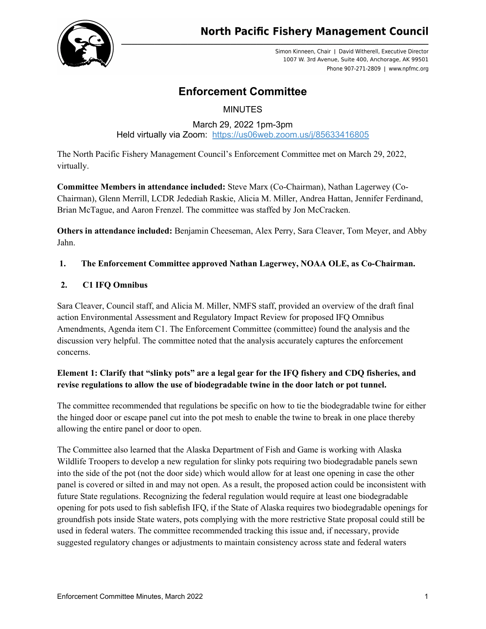

Simon Kinneen, Chair | David Witherell, Executive Director 1007 W. 3rd Avenue, Suite 400, Anchorage, AK 99501 Phone 907-271-2809 | www.npfmc.org

# **Enforcement Committee**

**MINUTES** 

March 29, 2022 1pm-3pm Held virtually via Zoom: <https://us06web.zoom.us/j/85633416805>

The North Pacific Fishery Management Council's Enforcement Committee met on March 29, 2022, virtually.

**Committee Members in attendance included:** Steve Marx (Co-Chairman), Nathan Lagerwey (Co-Chairman), Glenn Merrill, LCDR Jedediah Raskie, Alicia M. Miller, Andrea Hattan, Jennifer Ferdinand, Brian McTague, and Aaron Frenzel. The committee was staffed by Jon McCracken.

**Others in attendance included:** Benjamin Cheeseman, Alex Perry, Sara Cleaver, Tom Meyer, and Abby Jahn.

# **1. The Enforcement Committee approved Nathan Lagerwey, NOAA OLE, as Co-Chairman.**

# **2. C1 IFQ Omnibus**

Sara Cleaver, Council staff, and Alicia M. Miller, NMFS staff, provided an overview of the draft final action Environmental Assessment and Regulatory Impact Review for proposed IFQ Omnibus Amendments, Agenda item C1. The Enforcement Committee (committee) found the analysis and the discussion very helpful. The committee noted that the analysis accurately captures the enforcement concerns.

# **Element 1: Clarify that "slinky pots" are a legal gear for the IFQ fishery and CDQ fisheries, and revise regulations to allow the use of biodegradable twine in the door latch or pot tunnel.**

The committee recommended that regulations be specific on how to tie the biodegradable twine for either the hinged door or escape panel cut into the pot mesh to enable the twine to break in one place thereby allowing the entire panel or door to open.

The Committee also learned that the Alaska Department of Fish and Game is working with Alaska Wildlife Troopers to develop a new regulation for slinky pots requiring two biodegradable panels sewn into the side of the pot (not the door side) which would allow for at least one opening in case the other panel is covered or silted in and may not open. As a result, the proposed action could be inconsistent with future State regulations. Recognizing the federal regulation would require at least one biodegradable opening for pots used to fish sablefish IFQ, if the State of Alaska requires two biodegradable openings for groundfish pots inside State waters, pots complying with the more restrictive State proposal could still be used in federal waters. The committee recommended tracking this issue and, if necessary, provide suggested regulatory changes or adjustments to maintain consistency across state and federal waters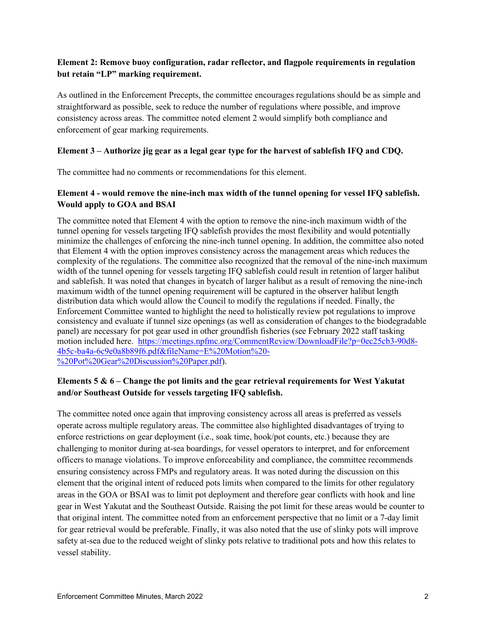### **Element 2: Remove buoy configuration, radar reflector, and flagpole requirements in regulation but retain "LP" marking requirement.**

As outlined in the Enforcement Precepts, the committee encourages regulations should be as simple and straightforward as possible, seek to reduce the number of regulations where possible, and improve consistency across areas. The committee noted element 2 would simplify both compliance and enforcement of gear marking requirements.

#### **Element 3 – Authorize jig gear as a legal gear type for the harvest of sablefish IFQ and CDQ.**

The committee had no comments or recommendations for this element.

#### **Element 4 - would remove the nine-inch max width of the tunnel opening for vessel IFQ sablefish. Would apply to GOA and BSAI**

The committee noted that Element 4 with the option to remove the nine-inch maximum width of the tunnel opening for vessels targeting IFQ sablefish provides the most flexibility and would potentially minimize the challenges of enforcing the nine-inch tunnel opening. In addition, the committee also noted that Element 4 with the option improves consistency across the management areas which reduces the complexity of the regulations. The committee also recognized that the removal of the nine-inch maximum width of the tunnel opening for vessels targeting IFQ sablefish could result in retention of larger halibut and sablefish. It was noted that changes in bycatch of larger halibut as a result of removing the nine-inch maximum width of the tunnel opening requirement will be captured in the observer halibut length distribution data which would allow the Council to modify the regulations if needed. Finally, the Enforcement Committee wanted to highlight the need to holistically review pot regulations to improve consistency and evaluate if tunnel size openings (as well as consideration of changes to the biodegradable panel) are necessary for pot gear used in other groundfish fisheries (see February 2022 staff tasking motion included here. [https://meetings.npfmc.org/CommentReview/DownloadFile?p=0ec25cb3-90d8-](https://meetings.npfmc.org/CommentReview/DownloadFile?p=0ec25cb3-90d8-4b5c-ba4a-6c9e0a8b89f6.pdf&fileName=E%20Motion%20-%20Pot%20Gear%20Discussion%20Paper.pdf) [4b5c-ba4a-6c9e0a8b89f6.pdf&fileName=E%20Motion%20-](https://meetings.npfmc.org/CommentReview/DownloadFile?p=0ec25cb3-90d8-4b5c-ba4a-6c9e0a8b89f6.pdf&fileName=E%20Motion%20-%20Pot%20Gear%20Discussion%20Paper.pdf) [%20Pot%20Gear%20Discussion%20Paper.pdf\)](https://meetings.npfmc.org/CommentReview/DownloadFile?p=0ec25cb3-90d8-4b5c-ba4a-6c9e0a8b89f6.pdf&fileName=E%20Motion%20-%20Pot%20Gear%20Discussion%20Paper.pdf).

#### **Elements 5 & 6 – Change the pot limits and the gear retrieval requirements for West Yakutat and/or Southeast Outside for vessels targeting IFQ sablefish.**

The committee noted once again that improving consistency across all areas is preferred as vessels operate across multiple regulatory areas. The committee also highlighted disadvantages of trying to enforce restrictions on gear deployment (i.e., soak time, hook/pot counts, etc.) because they are challenging to monitor during at-sea boardings, for vessel operators to interpret, and for enforcement officers to manage violations. To improve enforceability and compliance, the committee recommends ensuring consistency across FMPs and regulatory areas. It was noted during the discussion on this element that the original intent of reduced pots limits when compared to the limits for other regulatory areas in the GOA or BSAI was to limit pot deployment and therefore gear conflicts with hook and line gear in West Yakutat and the Southeast Outside. Raising the pot limit for these areas would be counter to that original intent. The committee noted from an enforcement perspective that no limit or a 7-day limit for gear retrieval would be preferable. Finally, it was also noted that the use of slinky pots will improve safety at-sea due to the reduced weight of slinky pots relative to traditional pots and how this relates to vessel stability.